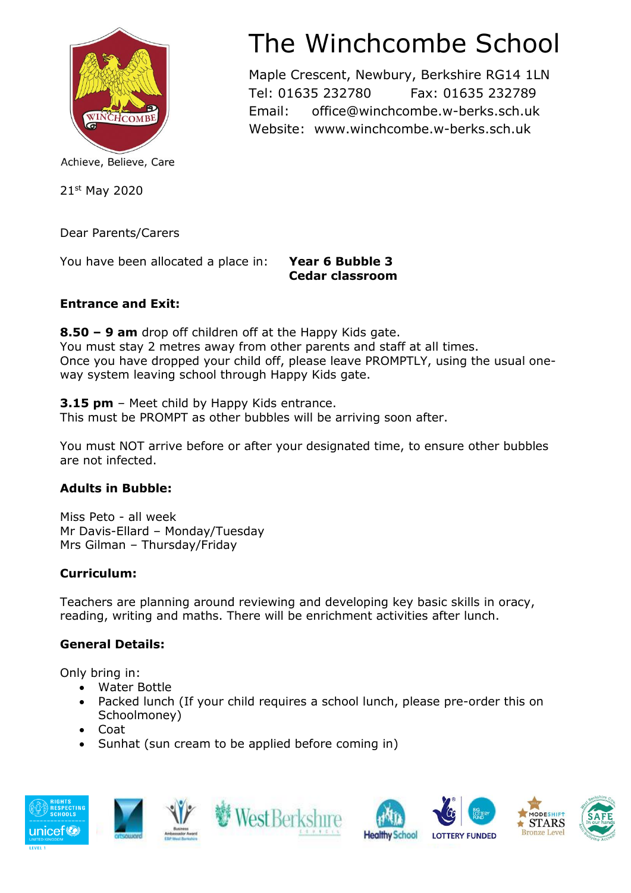

Achieve, Believe, Care

21st May 2020

Dear Parents/Carers

You have been allocated a place in: **Year 6 Bubble 3**

**Cedar classroom**

### **Entrance and Exit:**

**8.50 – 9 am** drop off children off at the Happy Kids gate. You must stay 2 metres away from other parents and staff at all times. Once you have dropped your child off, please leave PROMPTLY, using the usual oneway system leaving school through Happy Kids gate.

**3.15 pm** – Meet child by Happy Kids entrance.

This must be PROMPT as other bubbles will be arriving soon after.

You must NOT arrive before or after your designated time, to ensure other bubbles are not infected.

## **Adults in Bubble:**

Miss Peto - all week Mr Davis-Ellard – Monday/Tuesday Mrs Gilman – Thursday/Friday

## **Curriculum:**

Teachers are planning around reviewing and developing key basic skills in oracy, reading, writing and maths. There will be enrichment activities after lunch.

## **General Details:**

Only bring in:

- Water Bottle
- Packed lunch (If your child requires a school lunch, please pre-order this on Schoolmoney)
- Coat
- Sunhat (sun cream to be applied before coming in)













# The Winchcombe School

Maple Crescent, Newbury, Berkshire RG14 1LN Tel: 01635 232780 Fax: 01635 232789 Email: office@winchcombe.w-berks.sch.uk Website: www.winchcombe.w-berks.sch.uk